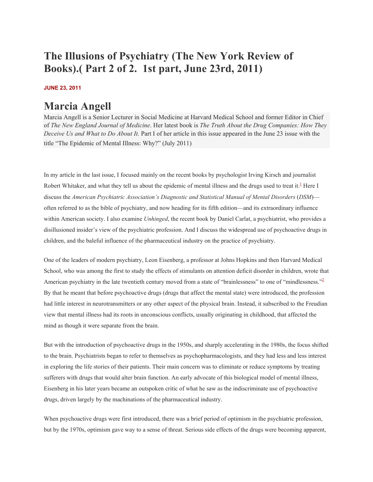# **The Illusions of Psychiatry (The New York Review of Books).( Part 2 of 2. 1st part, June 23rd, 2011)**

### **JUNE 23, 2011**

## **Marcia Angell**

Marcia Angell is a Senior Lecturer in Social Medicine at Harvard Medical School and former Editor in Chief of *The New England Journal of Medicine*. Her latest book is *The Truth About the Drug Companies: How They Deceive Us and What to Do About It.* Part I of her article in this issue appeared in the June 23 issue with the title "The Epidemic of Mental Illness: Why?" (July 2011)

In my article in the last issue, I focused mainly on the recent books by psychologist Irving Kirsch and journalist Robert Whitaker, and what they tell us about the epidemic of mental illness and the drugs used to treat it.<sup>1</sup> Here I discuss the *American Psychiatric Association's Diagnostic and Statistical Manual of Mental Disorders* (*DSM*) often referred to as the bible of psychiatry, and now heading for its fifth edition—and its extraordinary influence within American society. I also examine *Unhinged*, the recent book by Daniel Carlat, a psychiatrist, who provides a disillusioned insider's view of the psychiatric profession. And I discuss the widespread use of psychoactive drugs in children, and the baleful influence of the pharmaceutical industry on the practice of psychiatry.

One of the leaders of modern psychiatry, Leon Eisenberg, a professor at Johns Hopkins and then Harvard Medical School, who was among the first to study the effects of stimulants on attention deficit disorder in children, wrote that American psychiatry in the late twentieth century moved from a state of "brainlessness" to one of "mindlessness."<sup>2</sup> By that he meant that before psychoactive drugs (drugs that affect the mental state) were introduced, the profession had little interest in neurotransmitters or any other aspect of the physical brain. Instead, it subscribed to the Freudian view that mental illness had its roots in unconscious conflicts, usually originating in childhood, that affected the mind as though it were separate from the brain.

But with the introduction of psychoactive drugs in the 1950s, and sharply accelerating in the 1980s, the focus shifted to the brain. Psychiatrists began to refer to themselves as psychopharmacologists, and they had less and less interest in exploring the life stories of their patients. Their main concern was to eliminate or reduce symptoms by treating sufferers with drugs that would alter brain function. An early advocate of this biological model of mental illness, Eisenberg in his later years became an outspoken critic of what he saw as the indiscriminate use of psychoactive drugs, driven largely by the machinations of the pharmaceutical industry.

When psychoactive drugs were first introduced, there was a brief period of optimism in the psychiatric profession, but by the 1970s, optimism gave way to a sense of threat. Serious side effects of the drugs were becoming apparent,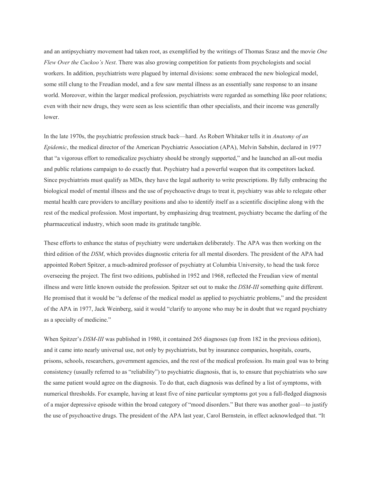and an antipsychiatry movement had taken root, as exemplified by the writings of Thomas Szasz and the movie *One Flew Over the Cuckoo's Nest*. There was also growing competition for patients from psychologists and social workers. In addition, psychiatrists were plagued by internal divisions: some embraced the new biological model, some still clung to the Freudian model, and a few saw mental illness as an essentially sane response to an insane world. Moreover, within the larger medical profession, psychiatrists were regarded as something like poor relations; even with their new drugs, they were seen as less scientific than other specialists, and their income was generally lower.

In the late 1970s, the psychiatric profession struck back—hard. As Robert Whitaker tells it in *Anatomy of an Epidemic*, the medical director of the American Psychiatric Association (APA), Melvin Sabshin, declared in 1977 that "a vigorous effort to remedicalize psychiatry should be strongly supported," and he launched an all-out media and public relations campaign to do exactly that. Psychiatry had a powerful weapon that its competitors lacked. Since psychiatrists must qualify as MDs, they have the legal authority to write prescriptions. By fully embracing the biological model of mental illness and the use of psychoactive drugs to treat it, psychiatry was able to relegate other mental health care providers to ancillary positions and also to identify itself as a scientific discipline along with the rest of the medical profession. Most important, by emphasizing drug treatment, psychiatry became the darling of the pharmaceutical industry, which soon made its gratitude tangible.

These efforts to enhance the status of psychiatry were undertaken deliberately. The APA was then working on the third edition of the *DSM*, which provides diagnostic criteria for all mental disorders. The president of the APA had appointed Robert Spitzer, a much-admired professor of psychiatry at Columbia University, to head the task force overseeing the project. The first two editions, published in 1952 and 1968, reflected the Freudian view of mental illness and were little known outside the profession. Spitzer set out to make the *DSM-III* something quite different. He promised that it would be "a defense of the medical model as applied to psychiatric problems," and the president of the APA in 1977, Jack Weinberg, said it would "clarify to anyone who may be in doubt that we regard psychiatry as a specialty of medicine."

When Spitzer's *DSM-III* was published in 1980, it contained 265 diagnoses (up from 182 in the previous edition), and it came into nearly universal use, not only by psychiatrists, but by insurance companies, hospitals, courts, prisons, schools, researchers, government agencies, and the rest of the medical profession. Its main goal was to bring consistency (usually referred to as "reliability") to psychiatric diagnosis, that is, to ensure that psychiatrists who saw the same patient would agree on the diagnosis. To do that, each diagnosis was defined by a list of symptoms, with numerical thresholds. For example, having at least five of nine particular symptoms got you a full-fledged diagnosis of a major depressive episode within the broad category of "mood disorders." But there was another goal—to justify the use of psychoactive drugs. The president of the APA last year, Carol Bernstein, in effect acknowledged that. "It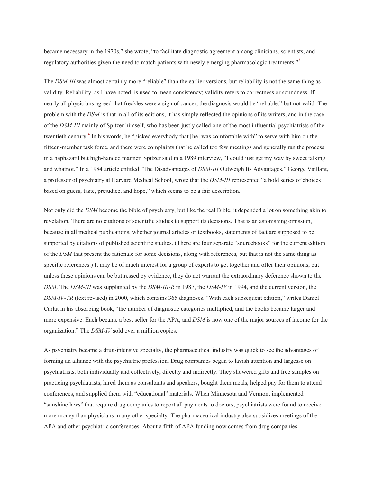became necessary in the 1970s," she wrote, "to facilitate diagnostic agreement among clinicians, scientists, and regulatory authorities given the need to match patients with newly emerging pharmacologic treatments."<sup>3</sup>

The *DSM-III* was almost certainly more "reliable" than the earlier versions, but reliability is not the same thing as validity. Reliability, as I have noted, is used to mean consistency; validity refers to correctness or soundness. If nearly all physicians agreed that freckles were a sign of cancer, the diagnosis would be "reliable," but not valid. The problem with the *DSM* is that in all of its editions, it has simply reflected the opinions of its writers, and in the case of the *DSM-III* mainly of Spitzer himself, who has been justly called one of the most influential psychiatrists of the twentieth century.<sup>4</sup> In his words, he "picked everybody that [he] was comfortable with" to serve with him on the fifteen-member task force, and there were complaints that he called too few meetings and generally ran the process in a haphazard but high-handed manner. Spitzer said in a 1989 interview, "I could just get my way by sweet talking and whatnot." In a 1984 article entitled "The Disadvantages of *DSM-III* Outweigh Its Advantages," George Vaillant, a professor of psychiatry at Harvard Medical School, wrote that the *DSM-III* represented "a bold series of choices based on guess, taste, prejudice, and hope," which seems to be a fair description.

Not only did the *DSM* become the bible of psychiatry, but like the real Bible, it depended a lot on something akin to revelation. There are no citations of scientific studies to support its decisions. That is an astonishing omission, because in all medical publications, whether journal articles or textbooks, statements of fact are supposed to be supported by citations of published scientific studies. (There are four separate "sourcebooks" for the current edition of the *DSM* that present the rationale for some decisions, along with references, but that is not the same thing as specific references.) It may be of much interest for a group of experts to get together and offer their opinions, but unless these opinions can be buttressed by evidence, they do not warrant the extraordinary deference shown to the *DSM*. The *DSM-III* was supplanted by the *DSM-III-R* in 1987, the *DSM-IV* in 1994, and the current version, the *DSM-IV-TR* (text revised) in 2000, which contains 365 diagnoses. "With each subsequent edition," writes Daniel Carlat in his absorbing book, "the number of diagnostic categories multiplied, and the books became larger and more expensive. Each became a best seller for the APA, and *DSM* is now one of the major sources of income for the organization." The *DSM-IV* sold over a million copies.

As psychiatry became a drug-intensive specialty, the pharmaceutical industry was quick to see the advantages of forming an alliance with the psychiatric profession. Drug companies began to lavish attention and largesse on psychiatrists, both individually and collectively, directly and indirectly. They showered gifts and free samples on practicing psychiatrists, hired them as consultants and speakers, bought them meals, helped pay for them to attend conferences, and supplied them with "educational" materials. When Minnesota and Vermont implemented "sunshine laws" that require drug companies to report all payments to doctors, psychiatrists were found to receive more money than physicians in any other specialty. The pharmaceutical industry also subsidizes meetings of the APA and other psychiatric conferences. About a fifth of APA funding now comes from drug companies.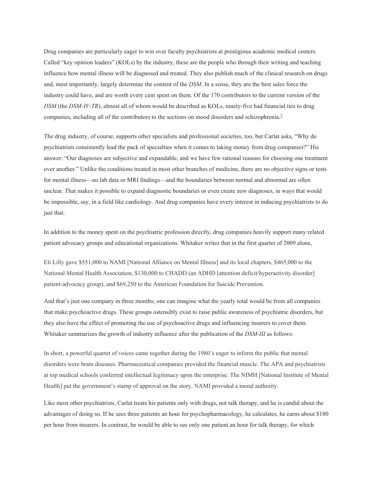Drug companies are particularly eager to win over faculty psychiatrists at prestigious academic medical centers. Called "key opinion leaders" (KOLs) by the industry, these are the people who through their writing and teaching influence how mental illness will be diagnosed and treated. They also publish much of the clinical research on drugs and, most importantly, largely determine the content of the *DSM*. In a sense, they are the best sales force the industry could have, and are worth every cent spent on them. Of the 170 contributors to the current version of the *DSM* (the *DSM-IV-TR*), almost all of whom would be described as KOLs, ninety-five had financial ties to drug companies, including all of the contributors to the sections on mood disorders and schizophrenia.<sup>5</sup>

The drug industry, of course, supports other specialists and professional societies, too, but Carlat asks, "Why do psychiatrists consistently lead the pack of specialties when it comes to taking money from drug companies?" His answer: "Our diagnoses are subjective and expandable, and we have few rational reasons for choosing one treatment over another." Unlike the conditions treated in most other branches of medicine, there are no objective signs or tests for mental illness—no lab data or MRI findings—and the boundaries between normal and abnormal are often unclear. That makes it possible to expand diagnostic boundaries or even create new diagnoses, in ways that would be impossible, say, in a field like cardiology. And drug companies have every interest in inducing psychiatrists to do just that.

In addition to the money spent on the psychiatric profession directly, drug companies heavily support many related patient advocacy groups and educational organizations. Whitaker writes that in the first quarter of 2009 alone,

Eli Lilly gave \$551,000 to NAMI [National Alliance on Mental Illness] and its local chapters, \$465,000 to the National Mental Health Association, \$130,000 to CHADD (an ADHD [attention deficit/hyperactivity disorder] patient-advocacy group), and \$69,250 to the American Foundation for Suicide Prevention.

And that's just one company in three months; one can imagine what the yearly total would be from all companies that make psychoactive drugs. These groups ostensibly exist to raise public awareness of psychiatric disorders, but they also have the effect of promoting the use of psychoactive drugs and influencing insurers to cover them. Whitaker summarizes the growth of industry influence after the publication of the *DSM-III* as follows:

In short, a powerful quartet of voices came together during the 1980's eager to inform the public that mental disorders were brain diseases. Pharmaceutical companies provided the financial muscle. The APA and psychiatrists at top medical schools conferred intellectual legitimacy upon the enterprise. The NIMH [National Institute of Mental Health] put the government's stamp of approval on the story. NAMI provided a moral authority.

Like most other psychiatrists, Carlat treats his patients only with drugs, not talk therapy, and he is candid about the advantages of doing so. If he sees three patients an hour for psychopharmacology, he calculates, he earns about \$180 per hour from insurers. In contrast, he would be able to see only one patient an hour for talk therapy, for which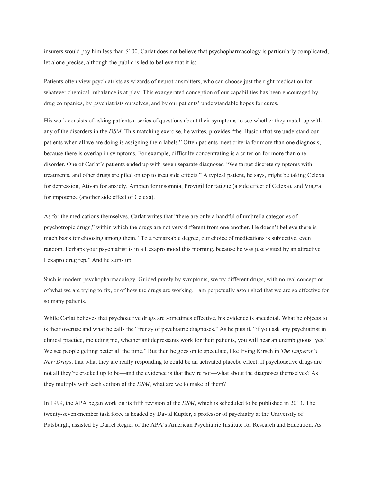insurers would pay him less than \$100. Carlat does not believe that psychopharmacology is particularly complicated, let alone precise, although the public is led to believe that it is:

Patients often view psychiatrists as wizards of neurotransmitters, who can choose just the right medication for whatever chemical imbalance is at play. This exaggerated conception of our capabilities has been encouraged by drug companies, by psychiatrists ourselves, and by our patients' understandable hopes for cures.

His work consists of asking patients a series of questions about their symptoms to see whether they match up with any of the disorders in the *DSM*. This matching exercise, he writes, provides "the illusion that we understand our patients when all we are doing is assigning them labels." Often patients meet criteria for more than one diagnosis, because there is overlap in symptoms. For example, difficulty concentrating is a criterion for more than one disorder. One of Carlat's patients ended up with seven separate diagnoses. "We target discrete symptoms with treatments, and other drugs are piled on top to treat side effects." A typical patient, he says, might be taking Celexa for depression, Ativan for anxiety, Ambien for insomnia, Provigil for fatigue (a side effect of Celexa), and Viagra for impotence (another side effect of Celexa).

As for the medications themselves, Carlat writes that "there are only a handful of umbrella categories of psychotropic drugs," within which the drugs are not very different from one another. He doesn't believe there is much basis for choosing among them. "To a remarkable degree, our choice of medications is subjective, even random. Perhaps your psychiatrist is in a Lexapro mood this morning, because he was just visited by an attractive Lexapro drug rep." And he sums up:

Such is modern psychopharmacology. Guided purely by symptoms, we try different drugs, with no real conception of what we are trying to fix, or of how the drugs are working. I am perpetually astonished that we are so effective for so many patients.

While Carlat believes that psychoactive drugs are sometimes effective, his evidence is anecdotal. What he objects to is their overuse and what he calls the "frenzy of psychiatric diagnoses." As he puts it, "if you ask any psychiatrist in clinical practice, including me, whether antidepressants work for their patients, you will hear an unambiguous 'yes.' We see people getting better all the time." But then he goes on to speculate, like Irving Kirsch in *The Emperor's New Drugs*, that what they are really responding to could be an activated placebo effect. If psychoactive drugs are not all they're cracked up to be—and the evidence is that they're not—what about the diagnoses themselves? As they multiply with each edition of the *DSM*, what are we to make of them?

In 1999, the APA began work on its fifth revision of the *DSM*, which is scheduled to be published in 2013. The twenty-seven-member task force is headed by David Kupfer, a professor of psychiatry at the University of Pittsburgh, assisted by Darrel Regier of the APA's American Psychiatric Institute for Research and Education. As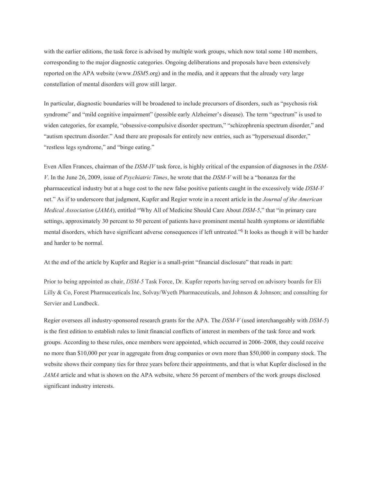with the earlier editions, the task force is advised by multiple work groups, which now total some 140 members, corresponding to the major diagnostic categories. Ongoing deliberations and proposals have been extensively reported on the APA website (www.*DSM*5.org) and in the media, and it appears that the already very large constellation of mental disorders will grow still larger.

In particular, diagnostic boundaries will be broadened to include precursors of disorders, such as "psychosis risk syndrome" and "mild cognitive impairment" (possible early Alzheimer's disease). The term "spectrum" is used to widen categories, for example, "obsessive-compulsive disorder spectrum," "schizophrenia spectrum disorder," and "autism spectrum disorder." And there are proposals for entirely new entries, such as "hypersexual disorder," "restless legs syndrome," and "binge eating."

Even Allen Frances, chairman of the *DSM-IV* task force, is highly critical of the expansion of diagnoses in the *DSM-V*. In the June 26, 2009, issue of *Psychiatric Times*, he wrote that the *DSM-V* will be a "bonanza for the pharmaceutical industry but at a huge cost to the new false positive patients caught in the excessively wide *DSM-V* net." As if to underscore that judgment, Kupfer and Regier wrote in a recent article in the *Journal of the American Medical Association* (*JAMA*), entitled "Why All of Medicine Should Care About *DSM-5*," that "in primary care settings, approximately 30 percent to 50 percent of patients have prominent mental health symptoms or identifiable mental disorders, which have significant adverse consequences if left untreated." It looks as though it will be harder and harder to be normal.

At the end of the article by Kupfer and Regier is a small-print "financial disclosure" that reads in part:

Prior to being appointed as chair, *DSM-5* Task Force, Dr. Kupfer reports having served on advisory boards for Eli Lilly & Co, Forest Pharmaceuticals Inc, Solvay/Wyeth Pharmaceuticals, and Johnson & Johnson; and consulting for Servier and Lundbeck.

Regier oversees all industry-sponsored research grants for the APA. The *DSM-V* (used interchangeably with *DSM-5*) is the first edition to establish rules to limit financial conflicts of interest in members of the task force and work groups. According to these rules, once members were appointed, which occurred in 2006–2008, they could receive no more than \$10,000 per year in aggregate from drug companies or own more than \$50,000 in company stock. The website shows their company ties for three years before their appointments, and that is what Kupfer disclosed in the *JAMA* article and what is shown on the APA website, where 56 percent of members of the work groups disclosed significant industry interests.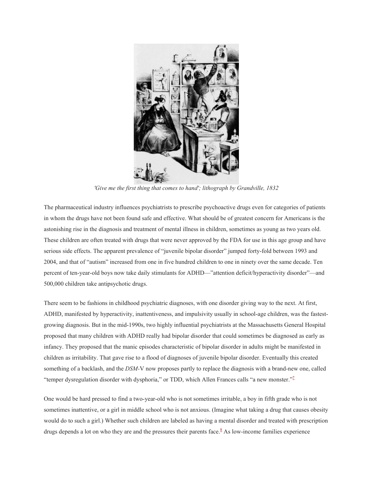

*'Give me the first thing that comes to hand'; lithograph by Grandville, 1832* 

The pharmaceutical industry influences psychiatrists to prescribe psychoactive drugs even for categories of patients in whom the drugs have not been found safe and effective. What should be of greatest concern for Americans is the astonishing rise in the diagnosis and treatment of mental illness in children, sometimes as young as two years old. These children are often treated with drugs that were never approved by the FDA for use in this age group and have serious side effects. The apparent prevalence of "juvenile bipolar disorder" jumped forty-fold between 1993 and 2004, and that of "autism" increased from one in five hundred children to one in ninety over the same decade. Ten percent of ten-year-old boys now take daily stimulants for ADHD—"attention deficit/hyperactivity disorder"—and 500,000 children take antipsychotic drugs.

There seem to be fashions in childhood psychiatric diagnoses, with one disorder giving way to the next. At first, ADHD, manifested by hyperactivity, inattentiveness, and impulsivity usually in school-age children, was the fastestgrowing diagnosis. But in the mid-1990s, two highly influential psychiatrists at the Massachusetts General Hospital proposed that many children with ADHD really had bipolar disorder that could sometimes be diagnosed as early as infancy. They proposed that the manic episodes characteristic of bipolar disorder in adults might be manifested in children as irritability. That gave rise to a flood of diagnoses of juvenile bipolar disorder. Eventually this created something of a backlash, and the *DSM-*V now proposes partly to replace the diagnosis with a brand-new one, called "temper dysregulation disorder with dysphoria," or TDD, which Allen Frances calls "a new monster."<sup>7</sup>

One would be hard pressed to find a two-year-old who is not sometimes irritable, a boy in fifth grade who is not sometimes inattentive, or a girl in middle school who is not anxious. (Imagine what taking a drug that causes obesity would do to such a girl.) Whether such children are labeled as having a mental disorder and treated with prescription drugs depends a lot on who they are and the pressures their parents face.  $8$  As low-income families experience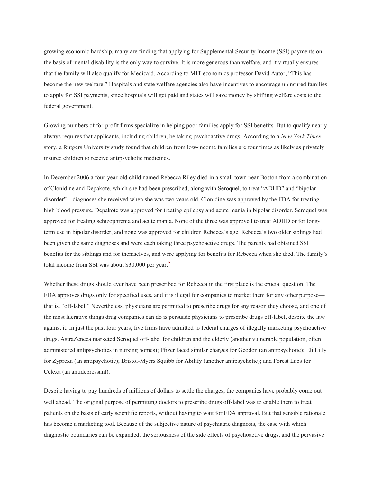growing economic hardship, many are finding that applying for Supplemental Security Income (SSI) payments on the basis of mental disability is the only way to survive. It is more generous than welfare, and it virtually ensures that the family will also qualify for Medicaid. According to MIT economics professor David Autor, "This has become the new welfare." Hospitals and state welfare agencies also have incentives to encourage uninsured families to apply for SSI payments, since hospitals will get paid and states will save money by shifting welfare costs to the federal government.

Growing numbers of for-profit firms specialize in helping poor families apply for SSI benefits. But to qualify nearly always requires that applicants, including children, be taking psychoactive drugs. According to a *New York Times* story, a Rutgers University study found that children from low-income families are four times as likely as privately insured children to receive antipsychotic medicines.

In December 2006 a four-year-old child named Rebecca Riley died in a small town near Boston from a combination of Clonidine and Depakote, which she had been prescribed, along with Seroquel, to treat "ADHD" and "bipolar disorder"—diagnoses she received when she was two years old. Clonidine was approved by the FDA for treating high blood pressure. Depakote was approved for treating epilepsy and acute mania in bipolar disorder. Seroquel was approved for treating schizophrenia and acute mania. None of the three was approved to treat ADHD or for longterm use in bipolar disorder, and none was approved for children Rebecca's age. Rebecca's two older siblings had been given the same diagnoses and were each taking three psychoactive drugs. The parents had obtained SSI benefits for the siblings and for themselves, and were applying for benefits for Rebecca when she died. The family's total income from SSI was about \$30,000 per year. $\frac{9}{2}$ 

Whether these drugs should ever have been prescribed for Rebecca in the first place is the crucial question. The FDA approves drugs only for specified uses, and it is illegal for companies to market them for any other purpose that is, "off-label." Nevertheless, physicians are permitted to prescribe drugs for any reason they choose, and one of the most lucrative things drug companies can do is persuade physicians to prescribe drugs off-label, despite the law against it. In just the past four years, five firms have admitted to federal charges of illegally marketing psychoactive drugs. AstraZeneca marketed Seroquel off-label for children and the elderly (another vulnerable population, often administered antipsychotics in nursing homes); Pfizer faced similar charges for Geodon (an antipsychotic); Eli Lilly for Zyprexa (an antipsychotic); Bristol-Myers Squibb for Abilify (another antipsychotic); and Forest Labs for Celexa (an antidepressant).

Despite having to pay hundreds of millions of dollars to settle the charges, the companies have probably come out well ahead. The original purpose of permitting doctors to prescribe drugs off-label was to enable them to treat patients on the basis of early scientific reports, without having to wait for FDA approval. But that sensible rationale has become a marketing tool. Because of the subjective nature of psychiatric diagnosis, the ease with which diagnostic boundaries can be expanded, the seriousness of the side effects of psychoactive drugs, and the pervasive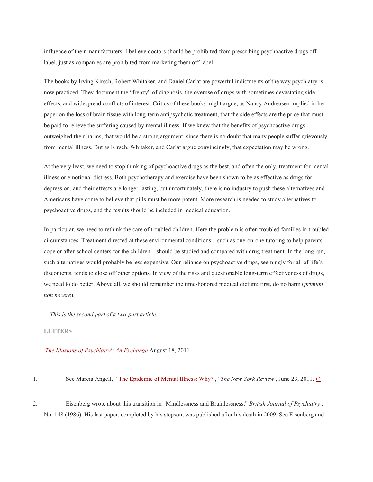influence of their manufacturers, I believe doctors should be prohibited from prescribing psychoactive drugs offlabel, just as companies are prohibited from marketing them off-label.

The books by Irving Kirsch, Robert Whitaker, and Daniel Carlat are powerful indictments of the way psychiatry is now practiced. They document the "frenzy" of diagnosis, the overuse of drugs with sometimes devastating side effects, and widespread conflicts of interest. Critics of these books might argue, as Nancy Andreasen implied in her paper on the loss of brain tissue with long-term antipsychotic treatment, that the side effects are the price that must be paid to relieve the suffering caused by mental illness. If we knew that the benefits of psychoactive drugs outweighed their harms, that would be a strong argument, since there is no doubt that many people suffer grievously from mental illness. But as Kirsch, Whitaker, and Carlat argue convincingly, that expectation may be wrong.

At the very least, we need to stop thinking of psychoactive drugs as the best, and often the only, treatment for mental illness or emotional distress. Both psychotherapy and exercise have been shown to be as effective as drugs for depression, and their effects are longer-lasting, but unfortunately, there is no industry to push these alternatives and Americans have come to believe that pills must be more potent. More research is needed to study alternatives to psychoactive drugs, and the results should be included in medical education.

In particular, we need to rethink the care of troubled children. Here the problem is often troubled families in troubled circumstances. Treatment directed at these environmental conditions—such as one-on-one tutoring to help parents cope or after-school centers for the children—should be studied and compared with drug treatment. In the long run, such alternatives would probably be less expensive. Our reliance on psychoactive drugs, seemingly for all of life's discontents, tends to close off other options. In view of the risks and questionable long-term effectiveness of drugs, we need to do better. Above all, we should remember the time-honored medical dictum: first, do no harm (*primum non nocere*).

—*This is the second part of a two-part article.*

### **LETTERS**

#### *'The Illusions of Psychiatry': An Exchange* August 18, 2011

1. See Marcia Angell, " The Epidemic of Mental Illness: Why? ," *The New York Review* , June 23, 2011. <u> $\epsilon$ </u>

2. Eisenberg wrote about this transition in "Mindlessness and Brainlessness," *British Journal of Psychiatry* , No. 148 (1986). His last paper, completed by his stepson, was published after his death in 2009. See Eisenberg and